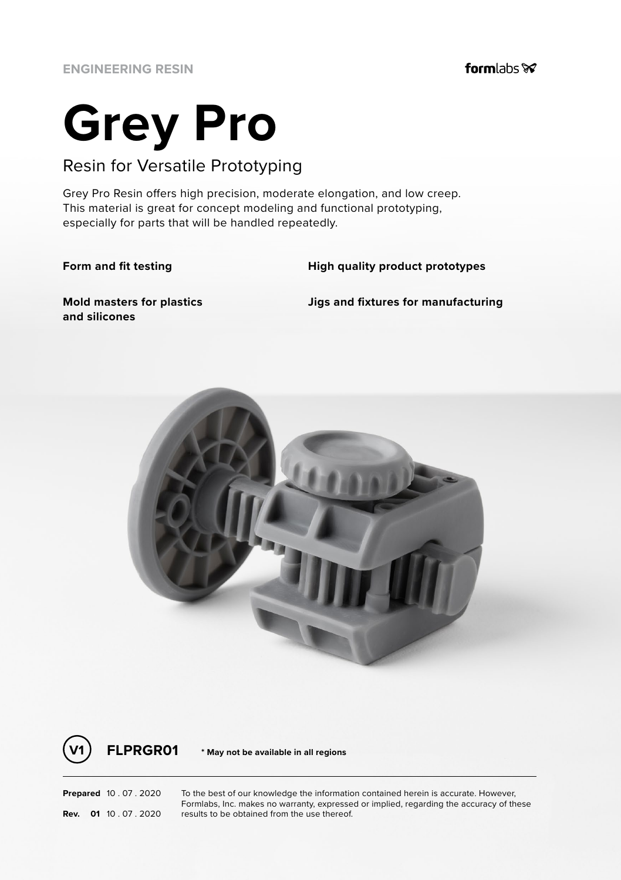# **Grey Pro**

## Resin for Versatile Prototyping

Grey Pro Resin offers high precision, moderate elongation, and low creep. This material is great for concept modeling and functional prototyping, especially for parts that will be handled repeatedly.

**Form and fit testing High quality product prototypes**

**Mold masters for plastics and silicones**

**Jigs and fixtures for manufacturing**



**V1 FLPRGR01 \* May not be available in all regions**

**Prepared** 10 . 07 . 2020 To the best of our knowledge the information contained herein is accurate. However, Formlabs, Inc. makes no warranty, expressed or implied, regarding the accuracy of these **Rev. 01** 10 . 07 . 2020 **results to be obtained from the use thereof.**